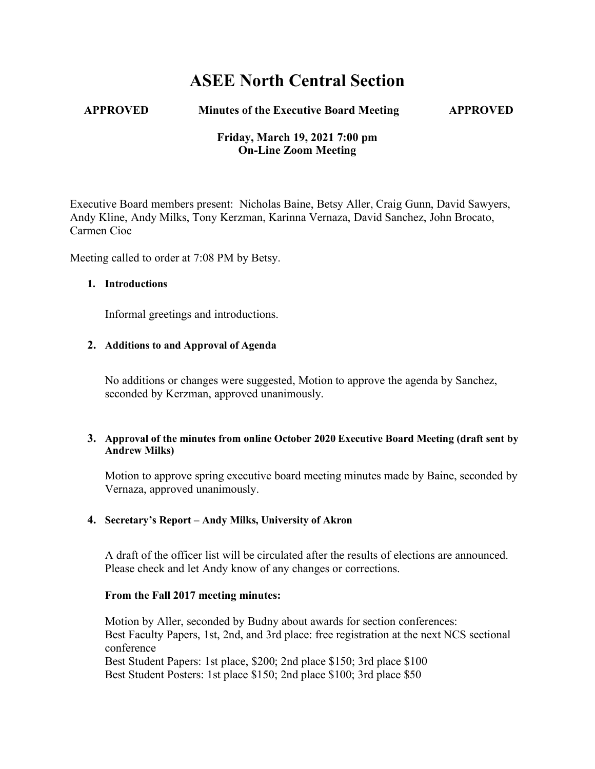# **ASEE North Central Section**

#### **APPROVED Minutes of the Executive Board Meeting APPROVED**

# **Friday, March 19, 2021 7:00 pm On-Line Zoom Meeting**

Executive Board members present: Nicholas Baine, Betsy Aller, Craig Gunn, David Sawyers, Andy Kline, Andy Milks, Tony Kerzman, Karinna Vernaza, David Sanchez, John Brocato, Carmen Cioc

Meeting called to order at 7:08 PM by Betsy.

#### **1. Introductions**

Informal greetings and introductions.

#### **2. Additions to and Approval of Agenda**

No additions or changes were suggested, Motion to approve the agenda by Sanchez, seconded by Kerzman, approved unanimously.

### **3. Approval of the minutes from online October 2020 Executive Board Meeting (draft sent by Andrew Milks)**

Motion to approve spring executive board meeting minutes made by Baine, seconded by Vernaza, approved unanimously.

#### **4. Secretary's Report – Andy Milks, University of Akron**

A draft of the officer list will be circulated after the results of elections are announced. Please check and let Andy know of any changes or corrections.

#### **From the Fall 2017 meeting minutes:**

Motion by Aller, seconded by Budny about awards for section conferences: Best Faculty Papers, 1st, 2nd, and 3rd place: free registration at the next NCS sectional conference Best Student Papers: 1st place, \$200; 2nd place \$150; 3rd place \$100 Best Student Posters: 1st place \$150; 2nd place \$100; 3rd place \$50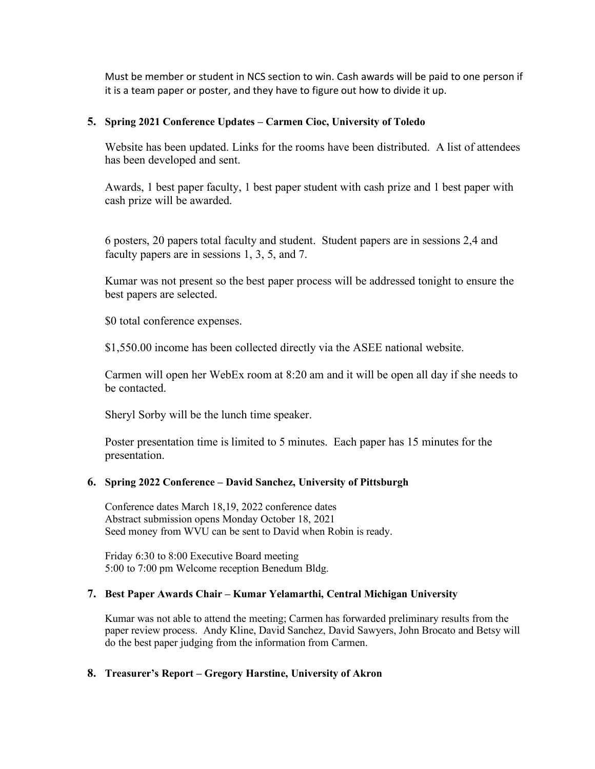Must be member or student in NCS section to win. Cash awards will be paid to one person if it is a team paper or poster, and they have to figure out how to divide it up.

### **5. Spring 2021 Conference Updates – Carmen Cioc, University of Toledo**

Website has been updated. Links for the rooms have been distributed. A list of attendees has been developed and sent.

Awards, 1 best paper faculty, 1 best paper student with cash prize and 1 best paper with cash prize will be awarded.

6 posters, 20 papers total faculty and student. Student papers are in sessions 2,4 and faculty papers are in sessions 1, 3, 5, and 7.

Kumar was not present so the best paper process will be addressed tonight to ensure the best papers are selected.

\$0 total conference expenses.

\$1,550.00 income has been collected directly via the ASEE national website.

Carmen will open her WebEx room at 8:20 am and it will be open all day if she needs to be contacted.

Sheryl Sorby will be the lunch time speaker.

Poster presentation time is limited to 5 minutes. Each paper has 15 minutes for the presentation.

#### **6. Spring 2022 Conference – David Sanchez, University of Pittsburgh**

Conference dates March 18,19, 2022 conference dates Abstract submission opens Monday October 18, 2021 Seed money from WVU can be sent to David when Robin is ready.

Friday 6:30 to 8:00 Executive Board meeting 5:00 to 7:00 pm Welcome reception Benedum Bldg.

# **7. Best Paper Awards Chair – Kumar Yelamarthi, Central Michigan University**

Kumar was not able to attend the meeting; Carmen has forwarded preliminary results from the paper review process. Andy Kline, David Sanchez, David Sawyers, John Brocato and Betsy will do the best paper judging from the information from Carmen.

#### **8. Treasurer's Report – Gregory Harstine, University of Akron**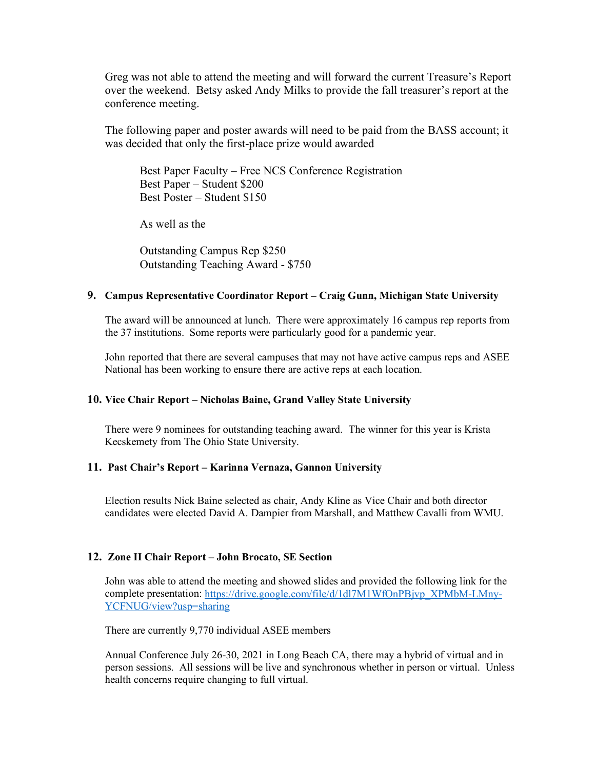Greg was not able to attend the meeting and will forward the current Treasure's Report over the weekend. Betsy asked Andy Milks to provide the fall treasurer's report at the conference meeting.

The following paper and poster awards will need to be paid from the BASS account; it was decided that only the first-place prize would awarded

Best Paper Faculty – Free NCS Conference Registration Best Paper – Student \$200 Best Poster – Student \$150

As well as the

Outstanding Campus Rep \$250 Outstanding Teaching Award - \$750

#### **9. Campus Representative Coordinator Report – Craig Gunn, Michigan State University**

The award will be announced at lunch. There were approximately 16 campus rep reports from the 37 institutions. Some reports were particularly good for a pandemic year.

John reported that there are several campuses that may not have active campus reps and ASEE National has been working to ensure there are active reps at each location.

#### **10. Vice Chair Report – Nicholas Baine, Grand Valley State University**

There were 9 nominees for outstanding teaching award. The winner for this year is Krista Kecskemety from The Ohio State University.

#### **11. Past Chair's Report – Karinna Vernaza, Gannon University**

Election results Nick Baine selected as chair, Andy Kline as Vice Chair and both director candidates were elected David A. Dampier from Marshall, and Matthew Cavalli from WMU.

# **12. Zone II Chair Report – John Brocato, SE Section**

John was able to attend the meeting and showed slides and provided the following link for the complete presentation[: https://drive.google.com/file/d/1dl7M1WfOnPBjvp\\_XPMbM-LMny-](https://drive.google.com/file/d/1dl7M1WfOnPBjvp_XPMbM-LMny-YCFNUG/view?usp=sharing)[YCFNUG/view?usp=sharing](https://drive.google.com/file/d/1dl7M1WfOnPBjvp_XPMbM-LMny-YCFNUG/view?usp=sharing)

There are currently 9,770 individual ASEE members

Annual Conference July 26-30, 2021 in Long Beach CA, there may a hybrid of virtual and in person sessions. All sessions will be live and synchronous whether in person or virtual. Unless health concerns require changing to full virtual.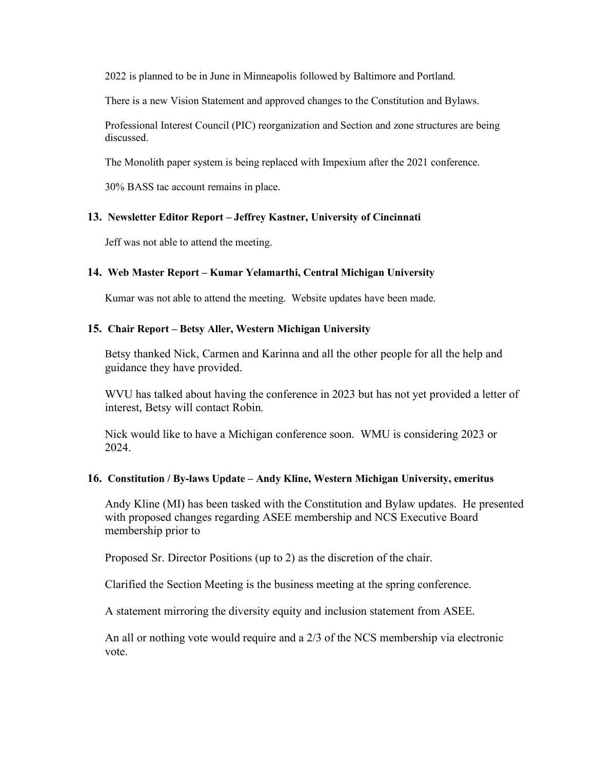2022 is planned to be in June in Minneapolis followed by Baltimore and Portland.

There is a new Vision Statement and approved changes to the Constitution and Bylaws.

Professional Interest Council (PIC) reorganization and Section and zone structures are being discussed.

The Monolith paper system is being replaced with Impexium after the 2021 conference.

30% BASS tac account remains in place.

#### **13. Newsletter Editor Report – Jeffrey Kastner, University of Cincinnati**

Jeff was not able to attend the meeting.

#### **14. Web Master Report – Kumar Yelamarthi, Central Michigan University**

Kumar was not able to attend the meeting. Website updates have been made.

#### **15. Chair Report – Betsy Aller, Western Michigan University**

Betsy thanked Nick, Carmen and Karinna and all the other people for all the help and guidance they have provided.

WVU has talked about having the conference in 2023 but has not yet provided a letter of interest, Betsy will contact Robin.

Nick would like to have a Michigan conference soon. WMU is considering 2023 or 2024.

#### **16. Constitution / By-laws Update – Andy Kline, Western Michigan University, emeritus**

Andy Kline (MI) has been tasked with the Constitution and Bylaw updates. He presented with proposed changes regarding ASEE membership and NCS Executive Board membership prior to

Proposed Sr. Director Positions (up to 2) as the discretion of the chair.

Clarified the Section Meeting is the business meeting at the spring conference.

A statement mirroring the diversity equity and inclusion statement from ASEE.

An all or nothing vote would require and a 2/3 of the NCS membership via electronic vote.